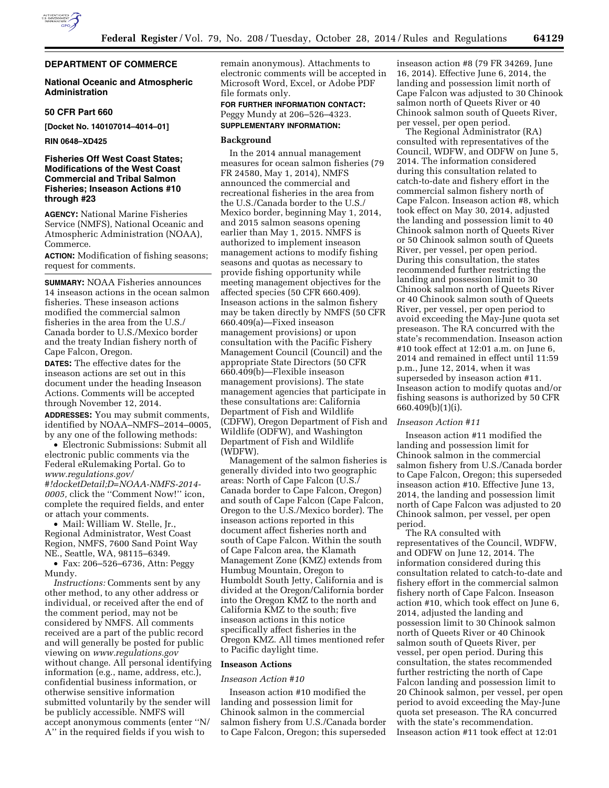

# **DEPARTMENT OF COMMERCE**

## **National Oceanic and Atmospheric Administration**

### **50 CFR Part 660**

**[Docket No. 140107014–4014–01]** 

### **RIN 0648–XD425**

# **Fisheries Off West Coast States; Modifications of the West Coast Commercial and Tribal Salmon Fisheries; Inseason Actions #10 through #23**

**AGENCY:** National Marine Fisheries Service (NMFS), National Oceanic and Atmospheric Administration (NOAA), Commerce.

**ACTION:** Modification of fishing seasons; request for comments.

**SUMMARY:** NOAA Fisheries announces 14 inseason actions in the ocean salmon fisheries. These inseason actions modified the commercial salmon fisheries in the area from the U.S./ Canada border to U.S./Mexico border and the treaty Indian fishery north of Cape Falcon, Oregon.

**DATES:** The effective dates for the inseason actions are set out in this document under the heading Inseason Actions. Comments will be accepted through November 12, 2014.

**ADDRESSES:** You may submit comments, identified by NOAA–NMFS–2014–0005, by any one of the following methods:

• Electronic Submissions: Submit all electronic public comments via the Federal eRulemaking Portal. Go to *[www.regulations.gov/](http://www.regulations.gov/#!docketDetail;D=NOAA-NMFS-2014-0005) [#!docketDetail;D=NOAA-NMFS-2014-](http://www.regulations.gov/#!docketDetail;D=NOAA-NMFS-2014-0005) [0005,](http://www.regulations.gov/#!docketDetail;D=NOAA-NMFS-2014-0005)* click the ''Comment Now!'' icon, complete the required fields, and enter or attach your comments.

• Mail: William W. Stelle, Jr., Regional Administrator, West Coast Region, NMFS, 7600 Sand Point Way NE., Seattle, WA, 98115–6349.

• Fax: 206–526–6736, Attn: Peggy Mundy.

*Instructions:* Comments sent by any other method, to any other address or individual, or received after the end of the comment period, may not be considered by NMFS. All comments received are a part of the public record and will generally be posted for public viewing on *[www.regulations.gov](http://www.regulations.gov)*  without change. All personal identifying information (e.g., name, address, etc.), confidential business information, or otherwise sensitive information submitted voluntarily by the sender will be publicly accessible. NMFS will accept anonymous comments (enter ''N/ A'' in the required fields if you wish to

remain anonymous). Attachments to electronic comments will be accepted in Microsoft Word, Excel, or Adobe PDF file formats only.

## **FOR FURTHER INFORMATION CONTACT:**  Peggy Mundy at 206–526–4323. **SUPPLEMENTARY INFORMATION:**

# **Background**

In the 2014 annual management measures for ocean salmon fisheries (79 FR 24580, May 1, 2014), NMFS announced the commercial and recreational fisheries in the area from the U.S./Canada border to the U.S./ Mexico border, beginning May 1, 2014, and 2015 salmon seasons opening earlier than May 1, 2015. NMFS is authorized to implement inseason management actions to modify fishing seasons and quotas as necessary to provide fishing opportunity while meeting management objectives for the affected species (50 CFR 660.409). Inseason actions in the salmon fishery may be taken directly by NMFS (50 CFR 660.409(a)—Fixed inseason management provisions) or upon consultation with the Pacific Fishery Management Council (Council) and the appropriate State Directors (50 CFR 660.409(b)—Flexible inseason management provisions). The state management agencies that participate in these consultations are: California Department of Fish and Wildlife (CDFW), Oregon Department of Fish and Wildlife (ODFW), and Washington Department of Fish and Wildlife (WDFW).

Management of the salmon fisheries is generally divided into two geographic areas: North of Cape Falcon (U.S./ Canada border to Cape Falcon, Oregon) and south of Cape Falcon (Cape Falcon, Oregon to the U.S./Mexico border). The inseason actions reported in this document affect fisheries north and south of Cape Falcon. Within the south of Cape Falcon area, the Klamath Management Zone (KMZ) extends from Humbug Mountain, Oregon to Humboldt South Jetty, California and is divided at the Oregon/California border into the Oregon KMZ to the north and California KMZ to the south; five inseason actions in this notice specifically affect fisheries in the Oregon KMZ. All times mentioned refer to Pacific daylight time.

## **Inseason Actions**

### *Inseason Action #10*

Inseason action #10 modified the landing and possession limit for Chinook salmon in the commercial salmon fishery from U.S./Canada border to Cape Falcon, Oregon; this superseded

inseason action #8 (79 FR 34269, June 16, 2014). Effective June 6, 2014, the landing and possession limit north of Cape Falcon was adjusted to 30 Chinook salmon north of Queets River or 40 Chinook salmon south of Queets River, per vessel, per open period.

The Regional Administrator (RA) consulted with representatives of the Council, WDFW, and ODFW on June 5, 2014. The information considered during this consultation related to catch-to-date and fishery effort in the commercial salmon fishery north of Cape Falcon. Inseason action #8, which took effect on May 30, 2014, adjusted the landing and possession limit to 40 Chinook salmon north of Queets River or 50 Chinook salmon south of Queets River, per vessel, per open period. During this consultation, the states recommended further restricting the landing and possession limit to 30 Chinook salmon north of Queets River or 40 Chinook salmon south of Queets River, per vessel, per open period to avoid exceeding the May-June quota set preseason. The RA concurred with the state's recommendation. Inseason action #10 took effect at 12:01 a.m. on June 6, 2014 and remained in effect until 11:59 p.m., June 12, 2014, when it was superseded by inseason action #11. Inseason action to modify quotas and/or fishing seasons is authorized by 50 CFR 660.409(b)(1)(i).

### *Inseason Action #11*

Inseason action #11 modified the landing and possession limit for Chinook salmon in the commercial salmon fishery from U.S./Canada border to Cape Falcon, Oregon; this superseded inseason action #10. Effective June 13, 2014, the landing and possession limit north of Cape Falcon was adjusted to 20 Chinook salmon, per vessel, per open period.

The RA consulted with representatives of the Council, WDFW, and ODFW on June 12, 2014. The information considered during this consultation related to catch-to-date and fishery effort in the commercial salmon fishery north of Cape Falcon. Inseason action #10, which took effect on June 6, 2014, adjusted the landing and possession limit to 30 Chinook salmon north of Queets River or 40 Chinook salmon south of Queets River, per vessel, per open period. During this consultation, the states recommended further restricting the north of Cape Falcon landing and possession limit to 20 Chinook salmon, per vessel, per open period to avoid exceeding the May-June quota set preseason. The RA concurred with the state's recommendation. Inseason action #11 took effect at 12:01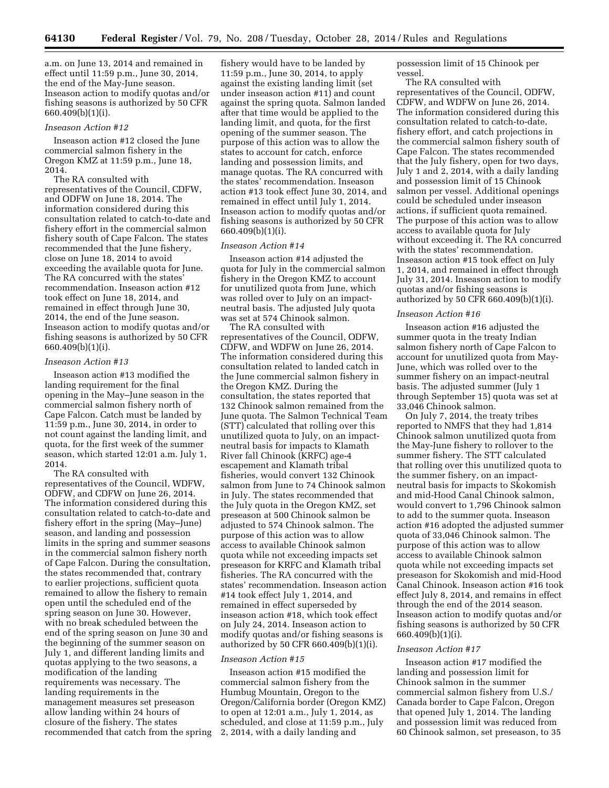a.m. on June 13, 2014 and remained in effect until 11:59 p.m., June 30, 2014, the end of the May-June season. Inseason action to modify quotas and/or fishing seasons is authorized by 50 CFR 660.409(b)(1)(i).

#### *Inseason Action #12*

Inseason action #12 closed the June commercial salmon fishery in the Oregon KMZ at 11:59 p.m., June 18, 2014.

The RA consulted with representatives of the Council, CDFW, and ODFW on June 18, 2014. The information considered during this consultation related to catch-to-date and fishery effort in the commercial salmon fishery south of Cape Falcon. The states recommended that the June fishery, close on June 18, 2014 to avoid exceeding the available quota for June. The RA concurred with the states' recommendation. Inseason action #12 took effect on June 18, 2014, and remained in effect through June 30, 2014, the end of the June season. Inseason action to modify quotas and/or fishing seasons is authorized by 50 CFR 660.409(b)(1)(i).

### *Inseason Action #13*

Inseason action #13 modified the landing requirement for the final opening in the May–June season in the commercial salmon fishery north of Cape Falcon. Catch must be landed by 11:59 p.m., June 30, 2014, in order to not count against the landing limit, and quota, for the first week of the summer season, which started 12:01 a.m. July 1, 2014.

The RA consulted with representatives of the Council, WDFW, ODFW, and CDFW on June 26, 2014. The information considered during this consultation related to catch-to-date and fishery effort in the spring (May–June) season, and landing and possession limits in the spring and summer seasons in the commercial salmon fishery north of Cape Falcon. During the consultation, the states recommended that, contrary to earlier projections, sufficient quota remained to allow the fishery to remain open until the scheduled end of the spring season on June 30. However, with no break scheduled between the end of the spring season on June 30 and the beginning of the summer season on July 1, and different landing limits and quotas applying to the two seasons, a modification of the landing requirements was necessary. The landing requirements in the management measures set preseason allow landing within 24 hours of closure of the fishery. The states recommended that catch from the spring fishery would have to be landed by 11:59 p.m., June 30, 2014, to apply against the existing landing limit (set under inseason action #11) and count against the spring quota. Salmon landed after that time would be applied to the landing limit, and quota, for the first opening of the summer season. The purpose of this action was to allow the states to account for catch, enforce landing and possession limits, and manage quotas. The RA concurred with the states' recommendation. Inseason action #13 took effect June 30, 2014, and remained in effect until July 1, 2014. Inseason action to modify quotas and/or fishing seasons is authorized by 50 CFR 660.409(b)(1)(i).

# *Inseason Action #14*

Inseason action #14 adjusted the quota for July in the commercial salmon fishery in the Oregon KMZ to account for unutilized quota from June, which was rolled over to July on an impactneutral basis. The adjusted July quota was set at 574 Chinook salmon.

The RA consulted with representatives of the Council, ODFW, CDFW, and WDFW on June 26, 2014. The information considered during this consultation related to landed catch in the June commercial salmon fishery in the Oregon KMZ. During the consultation, the states reported that 132 Chinook salmon remained from the June quota. The Salmon Technical Team (STT) calculated that rolling over this unutilized quota to July, on an impactneutral basis for impacts to Klamath River fall Chinook (KRFC) age-4 escapement and Klamath tribal fisheries, would convert 132 Chinook salmon from June to 74 Chinook salmon in July. The states recommended that the July quota in the Oregon KMZ, set preseason at 500 Chinook salmon be adjusted to 574 Chinook salmon. The purpose of this action was to allow access to available Chinook salmon quota while not exceeding impacts set preseason for KRFC and Klamath tribal fisheries. The RA concurred with the states' recommendation. Inseason action #14 took effect July 1, 2014, and remained in effect superseded by inseason action #18, which took effect on July 24, 2014. Inseason action to modify quotas and/or fishing seasons is authorized by 50 CFR 660.409(b)(1)(i).

## *Inseason Action #15*

Inseason action #15 modified the commercial salmon fishery from the Humbug Mountain, Oregon to the Oregon/California border (Oregon KMZ) to open at 12:01 a.m., July 1, 2014, as scheduled, and close at 11:59 p.m., July 2, 2014, with a daily landing and

possession limit of 15 Chinook per vessel.

The RA consulted with representatives of the Council, ODFW, CDFW, and WDFW on June 26, 2014. The information considered during this consultation related to catch-to-date, fishery effort, and catch projections in the commercial salmon fishery south of Cape Falcon. The states recommended that the July fishery, open for two days, July 1 and 2, 2014, with a daily landing and possession limit of 15 Chinook salmon per vessel. Additional openings could be scheduled under inseason actions, if sufficient quota remained. The purpose of this action was to allow access to available quota for July without exceeding it. The RA concurred with the states' recommendation. Inseason action #15 took effect on July 1, 2014, and remained in effect through July 31, 2014. Inseason action to modify quotas and/or fishing seasons is authorized by 50 CFR 660.409(b)(1)(i).

#### *Inseason Action #16*

Inseason action #16 adjusted the summer quota in the treaty Indian salmon fishery north of Cape Falcon to account for unutilized quota from May-June, which was rolled over to the summer fishery on an impact-neutral basis. The adjusted summer (July 1 through September 15) quota was set at 33,046 Chinook salmon.

On July 7, 2014, the treaty tribes reported to NMFS that they had 1,814 Chinook salmon unutilized quota from the May-June fishery to rollover to the summer fishery. The STT calculated that rolling over this unutilized quota to the summer fishery, on an impactneutral basis for impacts to Skokomish and mid-Hood Canal Chinook salmon, would convert to 1,796 Chinook salmon to add to the summer quota. Inseason action #16 adopted the adjusted summer quota of 33,046 Chinook salmon. The purpose of this action was to allow access to available Chinook salmon quota while not exceeding impacts set preseason for Skokomish and mid-Hood Canal Chinook. Inseason action #16 took effect July 8, 2014, and remains in effect through the end of the 2014 season. Inseason action to modify quotas and/or fishing seasons is authorized by 50 CFR 660.409(b)(1)(i).

#### *Inseason Action #17*

Inseason action #17 modified the landing and possession limit for Chinook salmon in the summer commercial salmon fishery from U.S./ Canada border to Cape Falcon, Oregon that opened July 1, 2014. The landing and possession limit was reduced from 60 Chinook salmon, set preseason, to 35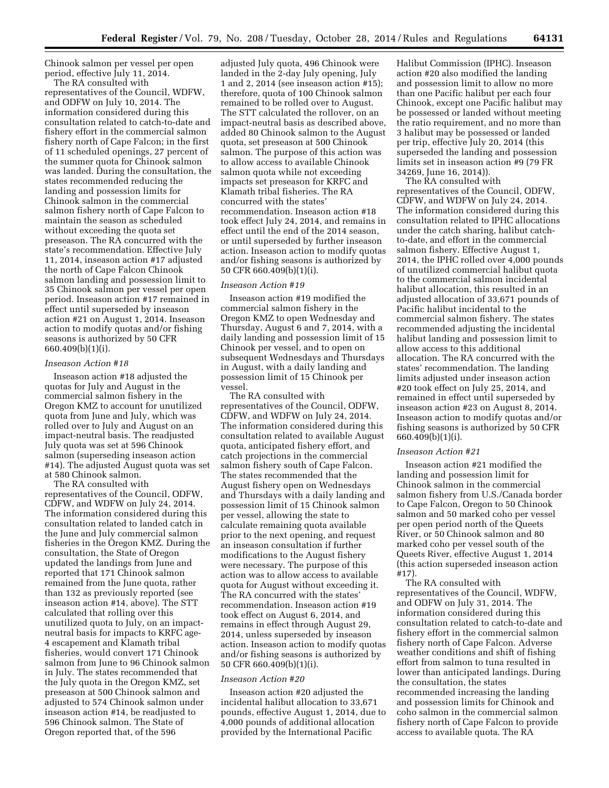Chinook salmon per vessel per open period, effective July 11, 2014.

The RA consulted with representatives of the Council, WDFW, and ODFW on July 10, 2014. The information considered during this consultation related to catch-to-date and fishery effort in the commercial salmon fishery north of Cape Falcon; in the first of 11 scheduled openings, 27 percent of the summer quota for Chinook salmon was landed. During the consultation, the states recommended reducing the landing and possession limits for Chinook salmon in the commercial salmon fishery north of Cape Falcon to maintain the season as scheduled without exceeding the quota set preseason. The RA concurred with the state's recommendation. Effective July 11, 2014, inseason action #17 adjusted the north of Cape Falcon Chinook salmon landing and possession limit to 35 Chinook salmon per vessel per open period. Inseason action #17 remained in effect until superseded by inseason action #21 on August 1, 2014. Inseason action to modify quotas and/or fishing seasons is authorized by 50 CFR 660.409(b)(1)(i).

## *Inseason Action #18*

Inseason action #18 adjusted the quotas for July and August in the commercial salmon fishery in the Oregon KMZ to account for unutilized quota from June and July, which was rolled over to July and August on an impact-neutral basis. The readjusted July quota was set at 596 Chinook salmon (superseding inseason action #14). The adjusted August quota was set at 580 Chinook salmon.

The RA consulted with representatives of the Council, ODFW, CDFW, and WDFW on July 24, 2014. The information considered during this consultation related to landed catch in the June and July commercial salmon fisheries in the Oregon KMZ. During the consultation, the State of Oregon updated the landings from June and reported that 171 Chinook salmon remained from the June quota, rather than 132 as previously reported (see inseason action #14, above). The STT calculated that rolling over this unutilized quota to July, on an impactneutral basis for impacts to KRFC age-4 escapement and Klamath tribal fisheries, would convert 171 Chinook salmon from June to 96 Chinook salmon in July. The states recommended that the July quota in the Oregon KMZ, set preseason at 500 Chinook salmon and adjusted to 574 Chinook salmon under inseason action #14, be readjusted to 596 Chinook salmon. The State of Oregon reported that, of the 596

adjusted July quota, 496 Chinook were landed in the 2-day July opening, July 1 and 2, 2014 (see inseason action #15); therefore, quota of 100 Chinook salmon remained to be rolled over to August. The STT calculated the rollover, on an impact-neutral basis as described above, added 80 Chinook salmon to the August quota, set preseason at 500 Chinook salmon. The purpose of this action was to allow access to available Chinook salmon quota while not exceeding impacts set preseason for KRFC and Klamath tribal fisheries. The RA concurred with the states' recommendation. Inseason action #18 took effect July 24, 2014, and remains in effect until the end of the 2014 season, or until superseded by further inseason action. Inseason action to modify quotas and/or fishing seasons is authorized by 50 CFR 660.409(b)(1)(i).

#### *Inseason Action #19*

Inseason action #19 modified the commercial salmon fishery in the Oregon KMZ to open Wednesday and Thursday, August 6 and 7, 2014, with a daily landing and possession limit of 15 Chinook per vessel, and to open on subsequent Wednesdays and Thursdays in August, with a daily landing and possession limit of 15 Chinook per vessel.

The RA consulted with representatives of the Council, ODFW, CDFW, and WDFW on July 24, 2014. The information considered during this consultation related to available August quota, anticipated fishery effort, and catch projections in the commercial salmon fishery south of Cape Falcon. The states recommended that the August fishery open on Wednesdays and Thursdays with a daily landing and possession limit of 15 Chinook salmon per vessel, allowing the state to calculate remaining quota available prior to the next opening, and request an inseason consultation if further modifications to the August fishery were necessary. The purpose of this action was to allow access to available quota for August without exceeding it. The RA concurred with the states' recommendation. Inseason action #19 took effect on August 6, 2014, and remains in effect through August 29, 2014, unless superseded by inseason action. Inseason action to modify quotas and/or fishing seasons is authorized by 50 CFR 660.409(b)(1)(i).

### *Inseason Action #20*

Inseason action #20 adjusted the incidental halibut allocation to 33,671 pounds, effective August 1, 2014, due to 4,000 pounds of additional allocation provided by the International Pacific

Halibut Commission (IPHC). Inseason action #20 also modified the landing and possession limit to allow no more than one Pacific halibut per each four Chinook, except one Pacific halibut may be possessed or landed without meeting the ratio requirement, and no more than 3 halibut may be possessed or landed per trip, effective July 20, 2014 (this superseded the landing and possession limits set in inseason action #9 (79 FR 34269, June 16, 2014)).

The RA consulted with representatives of the Council, ODFW, CDFW, and WDFW on July 24, 2014. The information considered during this consultation related to IPHC allocations under the catch sharing, halibut catchto-date, and effort in the commercial salmon fishery. Effective August 1, 2014, the IPHC rolled over 4,000 pounds of unutilized commercial halibut quota to the commercial salmon incidental halibut allocation, this resulted in an adjusted allocation of 33,671 pounds of Pacific halibut incidental to the commercial salmon fishery. The states recommended adjusting the incidental halibut landing and possession limit to allow access to this additional allocation. The RA concurred with the states' recommendation. The landing limits adjusted under inseason action #20 took effect on July 25, 2014, and remained in effect until superseded by inseason action #23 on August 8, 2014. Inseason action to modify quotas and/or fishing seasons is authorized by 50 CFR 660.409(b)(1)(i).

#### *Inseason Action #21*

Inseason action #21 modified the landing and possession limit for Chinook salmon in the commercial salmon fishery from U.S./Canada border to Cape Falcon, Oregon to 50 Chinook salmon and 50 marked coho per vessel per open period north of the Queets River, or 50 Chinook salmon and 80 marked coho per vessel south of the Queets River, effective August 1, 2014 (this action superseded inseason action #17).

The RA consulted with representatives of the Council, WDFW, and ODFW on July 31, 2014. The information considered during this consultation related to catch-to-date and fishery effort in the commercial salmon fishery north of Cape Falcon. Adverse weather conditions and shift of fishing effort from salmon to tuna resulted in lower than anticipated landings. During the consultation, the states recommended increasing the landing and possession limits for Chinook and coho salmon in the commercial salmon fishery north of Cape Falcon to provide access to available quota. The RA